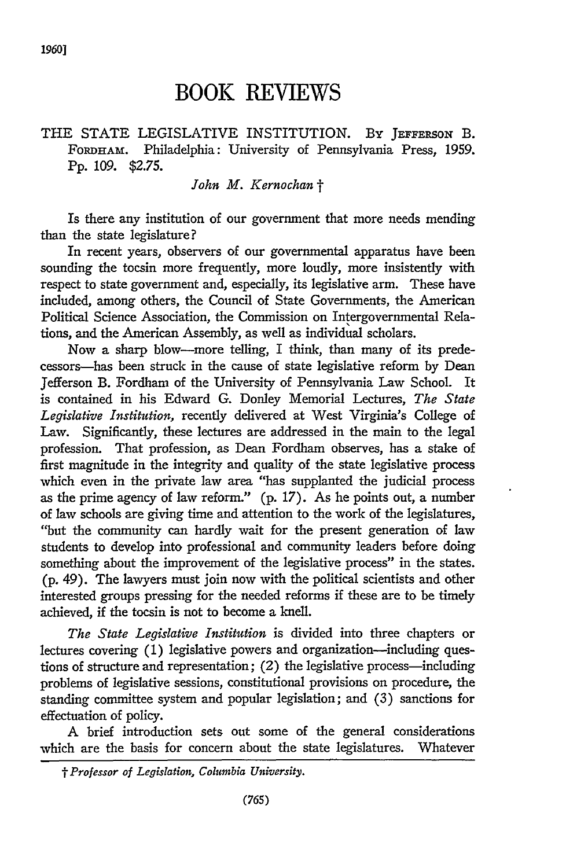# **BOOK REVIEWS**

## THE STATE LEGISLATIVE INSTITUTION. BY JEFFERSON B. **FoRDHAM.** Philadelphia: University of Pennsylvania Press, **1959. Pp. 109. \$2.75.**

#### *John M. Kernochan t*

Is there any institution of our government that more needs mending than the state legislature?

In recent years, observers of our governmental apparatus have been sounding the tocsin more frequently, more loudly, more insistently with respect to state government and, especially, its legislative arm. These have included, among others, the Council of State Governments, the American Political Science Association, the Commission on Intergovernmental Relations, and the American Assembly, as well as individual scholars.

Now a sharp blow-more telling, I think, than many of its predecessors-has been struck in the cause of state legislative reform by Dean Jefferson B. Fordham of the University of Pennsylvania Law School. It is contained in his Edward G. Donley Memorial Lectures, *The State Legislative Institution,* recently delivered at West Virginia's College of Law. Significantly, these lectures are addressed in the main to the legal profession. That profession, as Dean Fordham observes, has a stake of first magnitude in the integrity and quality of the state legislative process which even in the private law area "has supplanted the judicial process as the prime agency of law reform." (p. 17). As he points out, a number of law schools are giving time and attention to the work of the legislatures, "but the community can hardly wait for the present generation of law students to develop into professional and community leaders before doing something about the improvement of the legislative process" in the states. (p. 49). The lawyers must join now with the political scientists and other interested groups pressing for the needed reforms if these are to be timely achieved, if the tocsin is not to become a knell.

*The State Legislative Institution* is divided into three chapters or lectures covering (1) legislative powers and organization-including questions of structure and representation; (2) the legislative process-including problems of legislative sessions, constitutional provisions on procedure, the standing committee system and popular legislation; and **(3)** sanctions for effectuation of policy.

A brief introduction sets out some of the general considerations which are the basis for concern about the state legislatures. Whatever

*<sup>&#</sup>x27; Professor of Legislation, Columbia University.*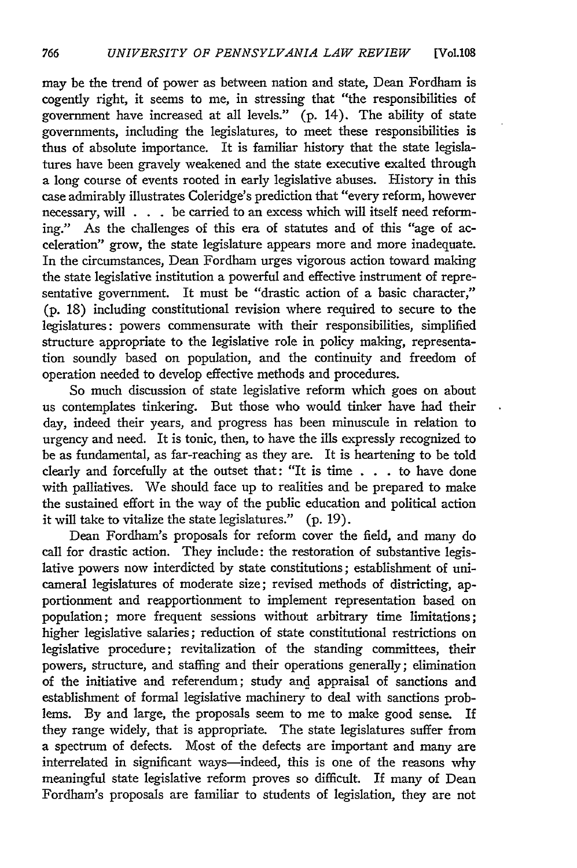may be the trend of power as between nation and state, Dean Fordham is cogently right, it seems to me, in stressing that "the responsibilities of government have increased at all levels." (p. 14). The ability of state governments, including the legislatures, to meet these responsibilities is thus of absolute importance. It is familiar history that the state legislatures have been gravely weakened and the state executive exalted through a long course of events rooted in early legislative abuses. History in this case admirably illustrates Coleridge's prediction that "every reform, however necessary, will . . . be carried to an excess which will itself need reforming." As the challenges of this era of statutes and of this "age of acceleration" grow, the state legislature appears more and more inadequate. In the circumstances, Dean Fordham urges vigorous action toward making the state legislative institution a powerful and effective instrument of representative government. It must be "drastic action of a basic character," (p. 18) including constitutional revision where required to secure to the legislatures: powers commensurate with their responsibilities, simplified structure appropriate to the legislative role in policy making, representation soundly based on population, and the continuity and freedom of operation needed to develop effective methods and procedures.

So much discussion of state legislative reform which goes on about us contemplates tinkering. But those who would tinker have had their day, indeed their years, and progress has been minuscule in relation to urgency and need. It is tonic, then, to have the ills expressly recognized to be as fundamental, as far-reaching as they are. It is heartening to be told clearly and forcefully at the outset that: "It is time . . . to have done with palliatives. We should face up to realities and be prepared to make the sustained effort in the way of the public education and political action it will take to vitalize the state legislatures." (p. 19).

Dean Fordham's proposals for reform cover the field, and many do call for drastic action. They include: the restoration of substantive legislative powers now interdicted by state constitutions; establishment of unicameral legislatures of moderate size; revised methods of districting, apportionment and reapportionment to implement representation based on population; more frequent sessions without arbitrary time limitations; higher legislative salaries; reduction of state constitutional restrictions on legislative procedure; revitalization of the standing committees, their powers, structure, and staffing and their operations generally; elimination of the initiative and referendum; study and appraisal of sanctions and establishment of formal legislative machinery to deal with sanctions problems. **By** and large, the proposals seem to me to make good sense. If they range widely, that is appropriate. The state legislatures suffer from a spectrum of defects. Most of the defects are important and many are interrelated in significant ways—indeed, this is one of the reasons why meaningful state legislative reform proves so difficult. If many of Dean Fordham's proposals are familiar to students of legislation, they are not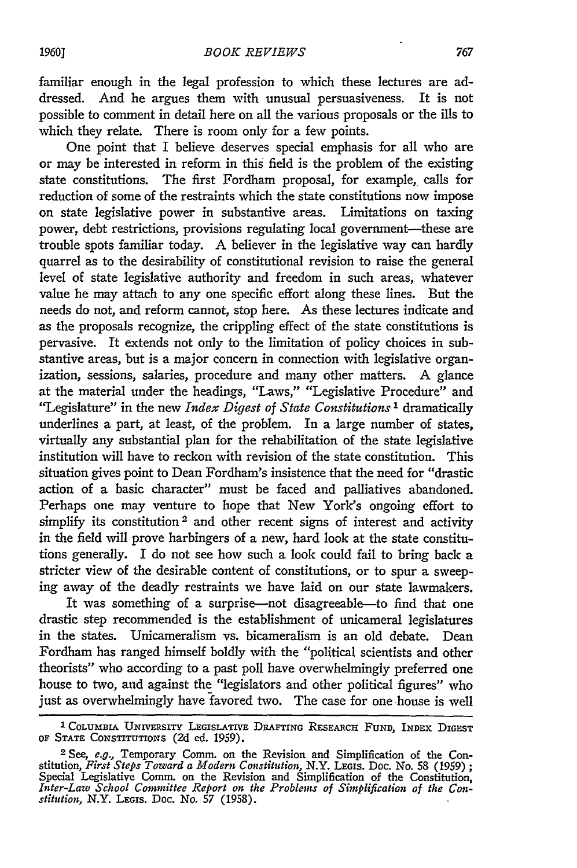familiar enough in the legal profession to which these lectures are addressed. And he argues them with unusual persuasiveness. It is not possible to comment in detail here on all the various proposals or the ills to which they relate. There is room only for a few points.

One point that I believe deserves special emphasis for all who are or may be interested in reform in this field is the problem of the existing state constitutions. The first Fordham proposal, for example, calls for reduction of some of the restraints which the state constitutions now impose on state legislative power in substantive areas. Limitations on taxing power, debt restrictions, provisions regulating local government-these are trouble spots familiar today. A believer in the legislative way can hardly quarrel as to the desirability of constitutional revision to raise the general level of state legislative authority and freedom in such areas, whatever value he may attach to any one specific effort along these lines. But the needs do not, and reform cannot, stop here. As these lectures indicate and as the proposals recognize, the crippling effect of the state constitutions is pervasive. It extends not only to the limitation of policy choices in substantive areas, but is a major concern in connection with legislative organization, sessions, salaries, procedure and many other matters. A glance at the material under the headings, "Laws," "Legislative Procedure" and "Legislature" in the new *Index Digest of State Constitutions 1* dramatically underlines a part, at least, of the problem. In a large number of states, virtually any substantial plan for the rehabilitation of the state legislative institution will have to reckon with revision of the state constitution. This situation gives point to Dean Fordham's insistence that the need for "drastic action of a basic character" must be faced and palliatives abandoned. Perhaps one may venture to hope that New York's ongoing effort to simplify its constitution<sup>2</sup> and other recent signs of interest and activity in the field will prove harbingers of a new, hard look at the state constitutions generally. I do not see how such a look could fail to bring back a stricter view of the desirable content of constitutions, or to spur a sweeping away of the deadly restraints we have laid on our state lawmakers.

It was something of a surprise-not disagreeable-to find that one drastic step recommended is the establishment of unicameral legislatures in the states. Unicameralism vs. bicameralism is an old debate. Dean Fordham has ranged himself boldly with the "political scientists and other theorists" who according to a past poll have overwhelmingly preferred one house to two, and against the "legislators and other political figures" who just as overwhelmingly have favored two. The case for one house is well

**<sup>1</sup>** COLUMBIA UNIVERSITY LEGISLATIvE DRAFTING RESEARCH **FUND,** INDEX DIGEST OF STATE CONSTITUTIONS (2d ed. 1959).

**<sup>2</sup>** See, *e.g.,* Temporary Comm. on the Revision and Simplification of the Constitution, *First Steps Toward a Modern Constitution,* N.Y. LEGis. Doc. No. 58 (1959) *;* Special Legislative Comm. on the Revision and Simplification of the Constitution, *Inter-Law School Committee Report on the Problems of Simplification of the Constitution,* N.Y. LEGIS. Doc. No. *57* (1958).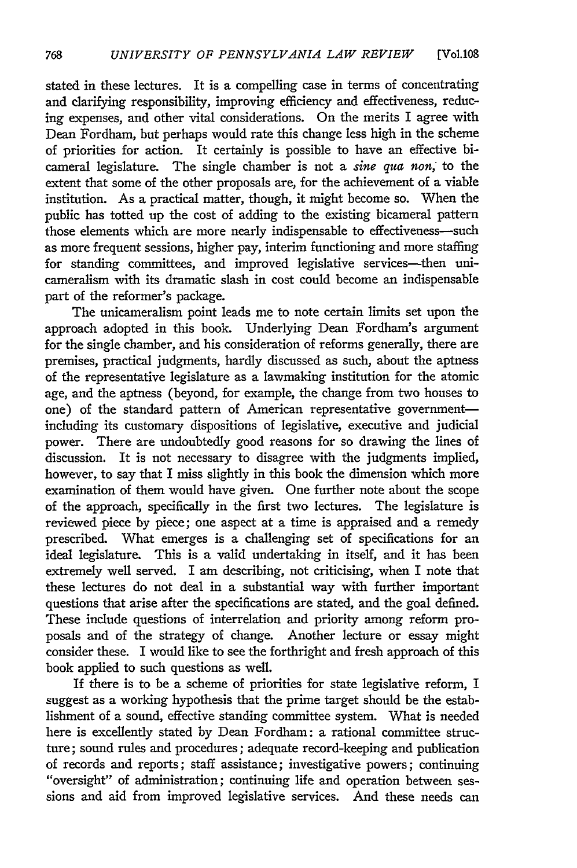stated in these lectures. It is a compelling case in terms of concentrating and clarifying responsibility, improving efficiency and effectiveness, reducing expenses, and other vital considerations. On the merits I agree with Dean Fordham, but perhaps would rate this change less high in the scheme of priorities for action. It certainly is possible to have an effective bicameral legislature. The single chamber is not a *sine qua non,* to the extent that some of the other proposals are, for the achievement of a viable institution. As a practical matter, though, it might become so. When the public has totted up the cost of adding to the existing bicameral pattern those elements which are more nearly indispensable to effectiveness-such as more frequent sessions, higher pay, interim functioning and more staffing for standing committees, and improved legislative services-then unicameralism with its dramatic slash in cost could become an indispensable part of the reformer's package.

The unicameralism point leads me to note certain limits set upon the approach adopted in this book. Underlying Dean Fordham's argument for the single chamber, and his consideration of reforms generally, there are premises, practical judgments, hardly discussed as such, about the aptness of the representative legislature as a lawmaking institution for the atomic age, and the aptness (beyond, for example, the change from two houses to one) of the standard pattern of American representative governmentincluding its customary dispositions of legislative, executive and judicial power. There are undoubtedly good reasons for so drawing the lines of discussion. It is not necessary to disagree with the judgments implied, however, to say that I miss slightly in this book the dimension which more examination of them would have given. One further note about the scope of the approach, specifically in the first two lectures. The legislature is reviewed piece by piece; one aspect at a time is appraised and a remedy prescribed. What emerges is a challenging set of specifications for an ideal legislature. This is a valid undertaking in itself, and it has been extremely well served. I am describing, not criticising, when I note that these lectures do not deal in a substantial way with further important questions that arise after the specifications are stated, and the goal defined. These include questions of interrelation and priority among reform proposals and of the strategy of change. Another lecture or essay might consider these. I would like to see the forthright and fresh approach of this book applied to such questions as well.

If there is to be a scheme of priorities for state legislative reform, I suggest as a working hypothesis that the prime target should be the establishment of a sound, effective standing committee system. What is needed here is excellently stated by Dean Fordham: a rational committee structure; sound rules and procedures; adequate record-keeping and publication<br>of records and reports; staff assistance; investigative powers; continuing "oversight" of administration; continuing life and operation between sessions and aid from improved legislative services. And these needs can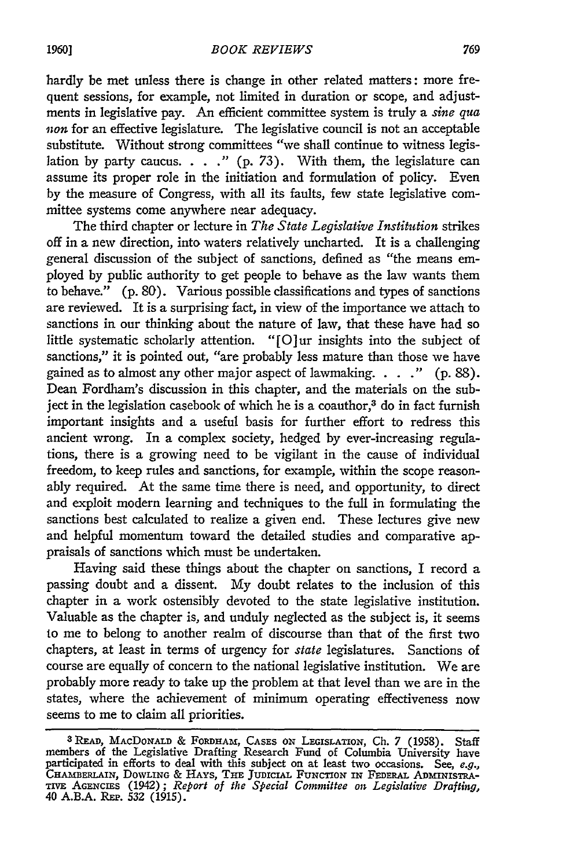hardly be met unless there is change in other related matters: more frequent sessions, for example, not limited in duration or scope, and adjustments in legislative pay. An efficient committee system is truly a *sine qua non* for an effective legislature. The legislative council is not an acceptable substitute. Without strong committees "we shall continue to witness legislation by party caucus. . . **."** (p. 73). With them, the legislature can assume its proper role in the initiation and formulation of policy. Even by the measure of Congress, with all its faults, few state legislative committee systems come anywhere near adequacy.

The third chapter or lecture in *The State Legislative Institution* strikes off in a new direction, into waters relatively uncharted. It is a challenging general discussion of the subject of sanctions, defined as "the means employed by public authority to get people to behave as the law wants them to behave." (p. 80). Various possible classifications and types of sanctions are reviewed. It is a surprising fact, in view of the importance we attach to sanctions in our thinking about the nature of law, that these have had so little systematic scholarly attention. "[O]ur insights into the subject of sanctions," it is pointed out, "are probably less mature than those we have gained as to almost any other major aspect of lawmaking. . . **."** (p. 88). Dean Fordham's discussion in this chapter, and the materials on the subject in the legislation casebook of which he is a coauthor, $3$  do in fact furnish important insights and a useful basis for further effort to redress this ancient wrong. In a complex society, hedged by ever-increasing regulations, there is a growing need to be vigilant in the cause of individual freedom, to keep rules and sanctions, for example, within the scope reasonably required. At the same time there is need, and opportunity, to direct and exploit modern learning and techniques to the full in formulating the sanctions best calculated to realize a given end. These lectures give new and helpful momentum toward the detailed studies and comparative appraisals of sanctions which must be undertaken.

Having said these things about the chapter on sanctions, I record a passing doubt and a dissent. My doubt relates to the inclusion of this chapter in a work ostensibly devoted to the state legislative institution. Valuable as the chapter is, and unduly neglected as the subject is, it seems to me to belong to another realm of discourse than that of the first two chapters, at least in terms of urgency for *state* legislatures. Sanctions of course are equally of concern to the national legislative institution. We are probably more ready to take up the problem at that level than we are in the states, where the achievement of minimum operating effectiveness now seems to me to claim all priorities.

**<sup>3</sup> READ,** MAcDoNALD & FORDHAM, CASES ox LEGISLATION, **Ch.** 7 (1958). Staff members of the Legislative Drafting Research Fund of Columbia University have participated in efforts to deal with this subject on at least tvo occasions. See, *e.g.,* CHAMBERLAIN, DOWLING & HAYS, THE JUDICIAL FUNCTION IN FEDERAL ADMINISTRA-<br>TIVE AGENCIES (1942); *Report of the Special Committee on Legislative Drafting,*<br>40 A.B.A. REP. 532 (1915).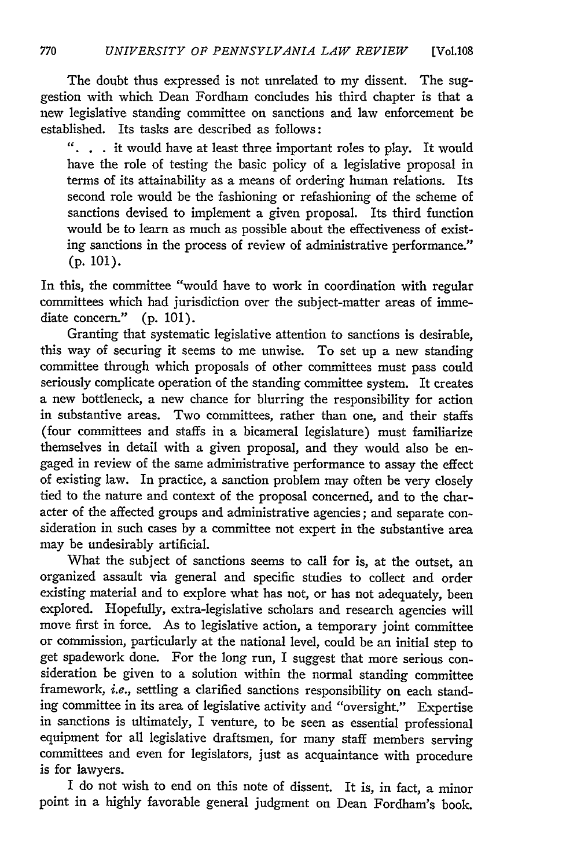The doubt thus expressed is not unrelated to my dissent. The suggestion with which Dean Fordham concludes his third chapter is that a new legislative standing committee on sanctions and law enforcement be established. Its tasks are described as follows:

*"..* . it would have at least three important roles to play. It would have the role of testing the basic policy of a legislative proposal in terms of its attainability as a means of ordering human relations. Its second role would be the fashioning or refashioning of the scheme of sanctions devised to implement a given proposal. Its third function would be to learn as much as possible about the effectiveness of existing sanctions in the process of review of administrative performance." **(p.** 101).

In this, the committee "would have to work in coordination with regular committees which had jurisdiction over the subject-matter areas of immediate concern." **(p.** 101).

Granting that systematic legislative attention to sanctions is desirable, this way of securing it seems to me unwise. To set up a new standing committee through which proposals of other committees must pass could seriously complicate operation of the standing committee system. It creates a new bottleneck, a new chance for blurring the responsibility for action in substantive areas. Two committees, rather than one, and their staffs (four committees and staffs in a bicameral legislature) must familiarize themselves in detail with a given proposal, and they would also be engaged in review of the same administrative performance to assay the effect of existing law. In practice, a sanction problem may often be very closely tied to the nature and context of the proposal concerned, and to the character of the affected groups and administrative agencies; and separate consideration in such cases **by** a committee not expert in the substantive area may be undesirably artificial.

What the subject of sanctions seems to call for is, at the outset, an organized assault via general and specific studies to collect and order existing material and to explore what has not, or has not adequately, been explored. Hopefully, extra-legislative scholars and research agencies will move first in force. As to legislative action, a temporary joint committee or commission, particularly at the national level, could be an initial step to get spadework done. For the long run, I suggest that more serious consideration be given to a solution within the normal standing committee framework, *i.e.,* settling a clarified sanctions responsibility on each standing committee in its area of legislative activity and "oversight." Expertise in sanctions is ultimately, I venture, to be seen as essential professional equipment for all legislative draftsmen, for many staff members serving committees and even for legislators, just as acquaintance with procedure is for lawyers.

I do not wish to end on this note of dissent. It is, in fact, a minor point in a highly favorable general judgment on Dean Fordham's book.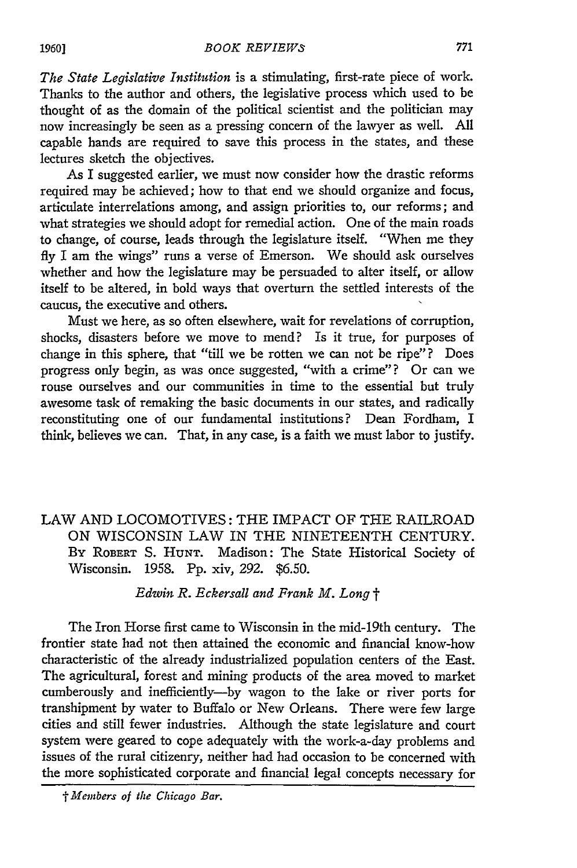*The State Legislative Institution* is a stimulating, first-rate piece of work. Thanks to the author and others, the legislative process which used to be thought of as the domain of the political scientist and the politician may now increasingly be seen as a pressing concern of the lawyer as well. **All** capable hands are required to save this process in the states, and these lectures sketch the objectives.

As I suggested earlier, we must now consider how the drastic reforms required may be achieved; how to that end we should organize and focus, articulate interrelations among, and assign priorities to, our reforms; and what strategies we should adopt for remedial action. One of the main roads to change, of course, leads through the legislature itself. "When me they **fly** I am the wings" runs a verse of Emerson. We should ask ourselves whether and how the legislature may be persuaded to alter itself, or allow itself to be altered, in bold ways that overturn the settled interests of the caucus, the executive and others.

Must we here, as so often elsewhere, wait for revelations of corruption, shocks, disasters before we move to mend? Is it true, for purposes of change in this sphere, that "till we be rotten we can not be ripe"? Does progress only begin, as was once suggested, "with a crime"? Or can we rouse ourselves and our communities in time to the essential but truly awesome task of remaking the basic documents in our states, and radically reconstituting one of our fundamental institutions? Dean Fordham, I think, believes we can. That, in any case, is a faith we must labor to justify.

# LAW AND LOCOMOTIVES: THE IMPACT OF THE RAILROAD ON WISCONSIN LAW IN THE NINETEENTH CENTURY. By ROBERT **S. HUNT.** Madison: The State Historical Society of Wisconsin. 1958. Pp. xiv, *292.* \$6.50.

### *Edwin R. Eckersall and Frank M. Long* t

The Iron Horse first came to Wisconsin in the mid-19th century. The frontier state had not then attained the economic and financial know-how characteristic of the already industrialized population centers of the East. The agricultural, forest and mining products of the area moved to market cumberously and inefficiently-by wagon to the lake or river ports for transhipment by water to Buffalo or New Orleans. There were few large cities and still fewer industries. Although the state legislature and court system were geared to cope adequately with the work-a-day problems and issues of the rural citizenry, neither had had occasion to be concerned with the more sophisticated corporate and financial legal concepts necessary for

*I Members of the Chicago Bar.*

#### *1960]*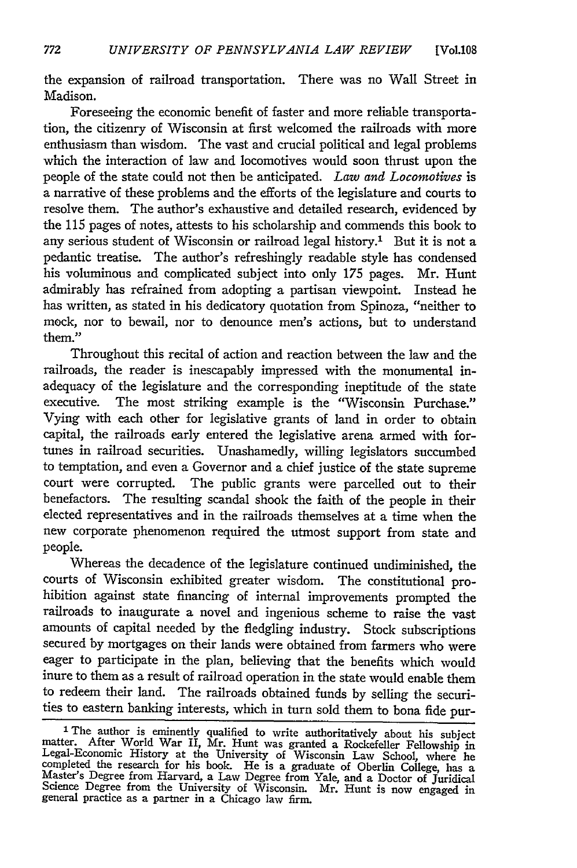the expansion of railroad transportation. There was no Wall Street in Madison.

Foreseeing the economic benefit of faster and more reliable transportation, the citizenry of Wisconsin at first welcomed the railroads with more enthusiasm than wisdom. The vast and crucial political and legal problems which the interaction of law and locomotives would soon thrust upon the people of the state could not then be anticipated. *Law and Locomotives* is a narrative of these problems and the efforts of the legislature and courts to resolve them. The author's exhaustive and detailed research, evidenced by the 115 pages of notes, attests to his scholarship and commends this book to any serious student of Wisconsin or railroad legal history.' But it is not a pedantic treatise. The author's refreshingly readable style has condensed his voluminous and complicated subject into only 175 pages. Mr. Hunt admirably has refrained from adopting a partisan viewpoint. Instead he has written, as stated in his dedicatory quotation from Spinoza, "neither to mock, nor to bewail, nor to denounce men's actions, but to understand them."

Throughout this recital of action and reaction between the law and the railroads, the reader is inescapably impressed with the monumental inadequacy of the legislature and the corresponding ineptitude of the state executive. The most striking example is the "Wisconsin Purchase." Vying with each other for legislative grants of land in order to obtain capital, the railroads early entered the legislative arena armed with fortunes in railroad securities. Unashamedly, willing legislators succumbed to temptation, and even a Governor and a chief justice of the state supreme court were corrupted. The public grants were parcelled out to their benefactors. The resulting scandal shook the faith of the people in their elected representatives and in the railroads themselves at a time when the new corporate phenomenon required the utmost support from state and people.

Whereas the decadence of the legislature continued undiminished, the courts of Wisconsin exhibited greater wisdom. The constitutional prohibition against state financing of internal improvements prompted the railroads to inaugurate a novel and ingenious scheme to raise the vast amounts of capital needed by the fledgling industry. Stock subscriptions secured by mortgages on their lands were obtained from farmers who were eager to participate in the plan, believing that the benefits which would inure to them as a result of railroad operation in the state would enable them to redeem their land. The railroads obtained funds by selling the securities to eastern banking interests, which in turn sold them to bona fide pur-

<sup>&</sup>lt;sup>1</sup> The author is eminently qualified to write authoritatively about his subject matter. After World War II, Mr. Hunt was granted a Rockefeller Fellowship in Legal-Economic History at the University of Wisconsin Law School completed the research for his book. He is a graduate of Oberlin College, has a Master's Degree from Harvard, a Law Degree from Yale, and a Doctor of Juridical Science Degree from the University of Wisconsin. Mr. Hunt is now engaged in general practice as a partner in a Chicago law firm.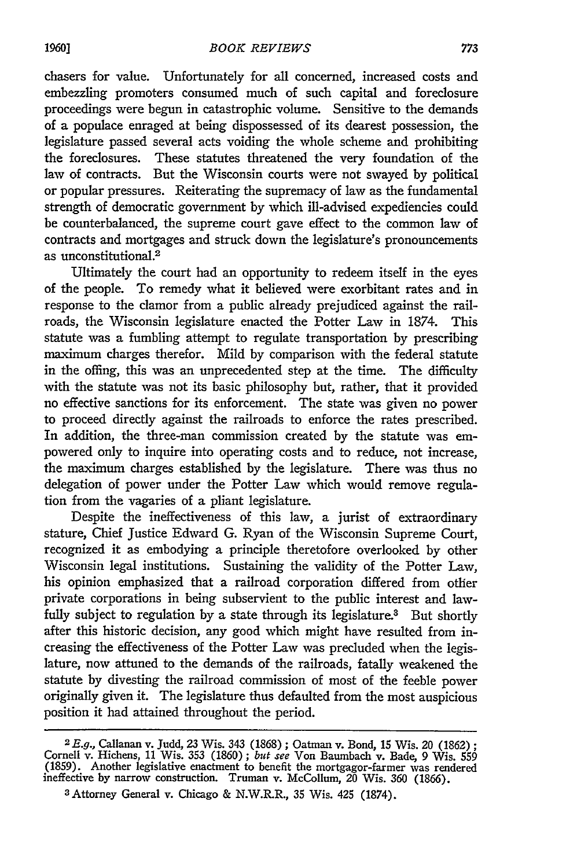chasers for value. Unfortunately for all concerned, increased costs and embezzling promoters consumed much of such capital and foreclosure proceedings were begun in catastrophic volume. Sensitive to the demands of a populace enraged at being dispossessed of its dearest possession, the legislature passed several acts voiding the whole scheme and prohibiting the foreclosures. These statutes threatened the very foundation of the law of contracts. But the Wisconsin courts were not swayed by political or popular pressures. Reiterating the supremacy of law as the fundamental strength of democratic government by which ill-advised expediencies could be counterbalanced, the supreme court gave effect to the common law of contracts and mortgages and struck down the legislature's pronouncements as unconstitutional.<sup>2</sup>

Ultimately the court had an opportunity to redeem itself in the eyes of the people. To remedy what it believed were exorbitant rates and in response to the clamor from a public already prejudiced against the railroads, the Wisconsin legislature enacted the Potter Law in 1874. This statute was a fumbling attempt to regulate transportation by prescribing maximum charges therefor. Mild by comparison with the federal statute in the offing, this was an unprecedented step at the time. The difficulty with the statute was not its basic philosophy but, rather, that it provided no effective sanctions for its enforcement. The state was given no power to proceed directly against the railroads to enforce the rates prescribed. In addition, the three-man commission created by the statute was empowered only to inquire into operating costs and to reduce, not increase, the maximum charges established by the legislature. There was thus no delegation of power under the Potter Law which would remove regulation from the vagaries of a pliant legislature.

Despite the ineffectiveness of this law, a jurist of extraordinary stature, Chief justice Edward G. Ryan of the Wisconsin Supreme Court, recognized it as embodying a principle theretofore overlooked by other Wisconsin legal institutions. Sustaining the validity of the Potter Law, his opinion emphasized that a railroad corporation differed from other private corporations in being subservient to the public interest and lawfully subject to regulation by a state through its legislature.<sup>3</sup> But shortly after this historic decision, any good which might have resulted from increasing the effectiveness of the Potter Law was precluded when the legislature, now attuned to the demands of the railroads, fatally weakened the statute by divesting the railroad commission of most of the feeble power originally given it. The legislature thus defaulted from the most auspicious position it had attained throughout the period.

*<sup>2</sup> E.g.,* Callanan v. Judd, 23 Wis. 343 (1868) ; Oatman v. Bond, 15 Wis. 20 (1862); Cornell v. Hichens, 11 Wis. 353 (1860); *but* see Von Baumbach v. Bade, 9 Wis. 559 (1859). Another legislative enactment to benefit the mortgagor-farmer **was** rendered ineffective by narrow construction. Truman v. McCollum, 20 Wis. *360* (1866).

**<sup>3</sup>** Attorney General v. Chicago & N.W.R.R., 35 Wis. 425 (1874).